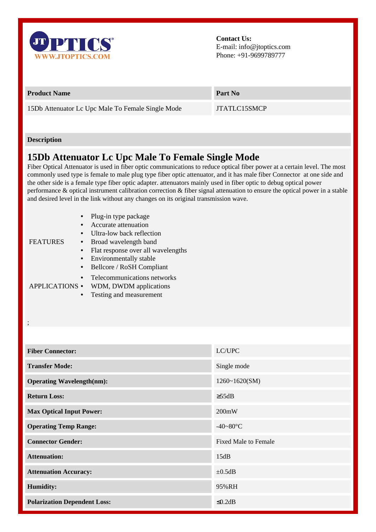

**Contact Us:** E-mail: info@jtoptics.com Phone: +91-9699789777

## **Product Name Part No**

15Db Attenuator Lc Upc Male To Female Single Mode JTATLC15SMCP

## **Description**

;

## **15Db Attenuator Lc Upc Male To Female Single Mode**

Fiber Optical Attenuator is used in fiber optic communications to reduce optical fiber power at a certain level. The most commonly used type is female to male plug type fiber optic attenuator, and it has male fiber Connector at one side and the other side is a female type fiber optic adapter. attenuators mainly used in fiber optic to debug optical power performance & optical instrument calibration correction & fiber signal attenuation to ensure the optical power in a stable and desired level in the link without any changes on its original transmission wave.

| <b>FEATURES</b>       |           | Plug-in type package               |
|-----------------------|-----------|------------------------------------|
|                       |           | Accurate attenuation               |
|                       |           | Ultra-low back reflection          |
|                       |           | Broad wavelength band              |
|                       |           | Flat response over all wavelengths |
|                       |           | Environmentally stable             |
|                       | $\bullet$ | Bellcore / RoSH Compliant          |
| <b>APPLICATIONS •</b> |           | Telecommunications networks        |
|                       |           | WDM, DWDM applications             |
|                       |           | Testing and measurement            |

| <b>Fiber Connector:</b>             | LC/UPC                      |
|-------------------------------------|-----------------------------|
| <b>Transfer Mode:</b>               | Single mode                 |
| <b>Operating Wavelength(nm):</b>    | 1260~1620(SM)               |
| <b>Return Loss:</b>                 | $\geq$ 55dB                 |
| <b>Max Optical Input Power:</b>     | 200mW                       |
| <b>Operating Temp Range:</b>        | $-40 - 80$ °C               |
| <b>Connector Gender:</b>            | <b>Fixed Male to Female</b> |
| <b>Attenuation:</b>                 | 15dB                        |
| <b>Attenuation Accuracy:</b>        | $\pm 0.5$ dB                |
| Humidity:                           | 95%RH                       |
| <b>Polarization Dependent Loss:</b> | $\leq 0.2$ dB               |